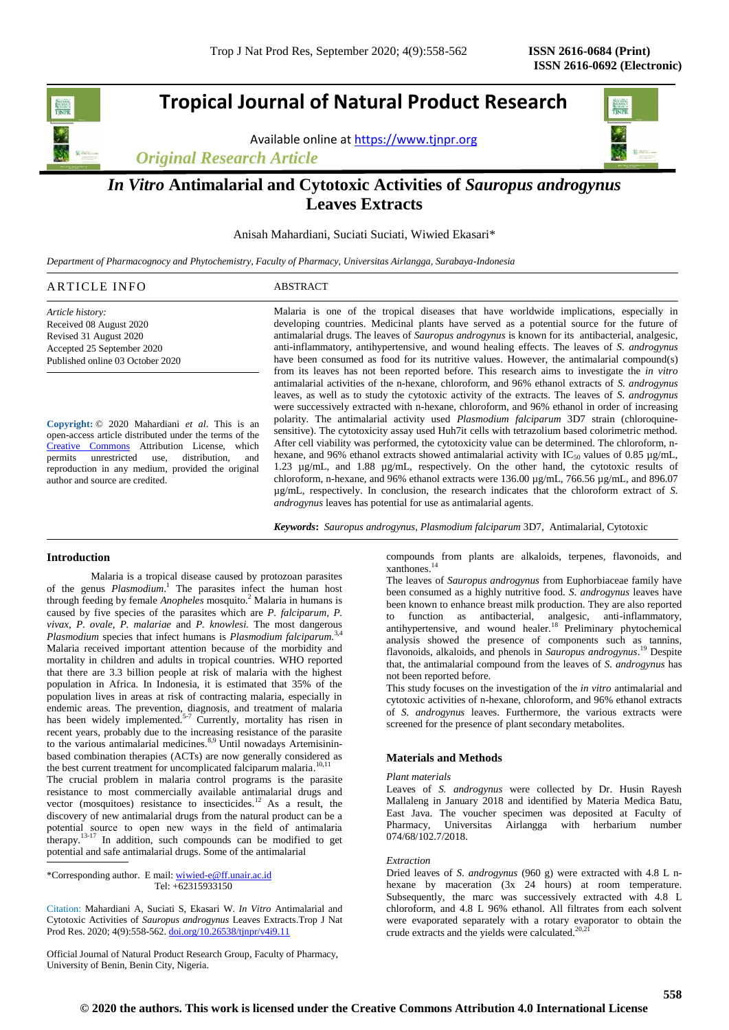# **Tropical Journal of Natural Product Research**

Available online a[t https://www.tjnpr.org](https://www.tjnpr.org/)

*Original Research Article*



# *In Vitro* **Antimalarial and Cytotoxic Activities of** *Sauropus androgynus* **Leaves Extracts**

Anisah Mahardiani, Suciati Suciati, Wiwied Ekasari\*

*Department of Pharmacognocy and Phytochemistry, Faculty of Pharmacy, Universitas Airlangga, Surabaya-Indonesia*

| <b>ARTICLE INFO</b> | 'BSTRAC. |  |
|---------------------|----------|--|
|                     |          |  |

*Article history:* Received 08 August 2020 Revised 31 August 2020 Accepted 25 September 2020 Published online 03 October 2020

**Copyright:** © 2020 Mahardiani *et al*. This is an open-access article distributed under the terms of the [Creative Commons](https://creativecommons.org/licenses/by/4.0/) Attribution License, which permits unrestricted use, distribution, and reproduction in any medium, provided the original author and source are credited.

Malaria is one of the tropical diseases that have worldwide implications, especially in developing countries. Medicinal plants have served as a potential source for the future of antimalarial drugs. The leaves of *Sauropus androgynus* is known for its antibacterial, analgesic, anti-inflammatory, antihypertensive, and wound healing effects. The leaves of *S. androgynus* have been consumed as food for its nutritive values. However, the antimalarial compound(s) from its leaves has not been reported before. This research aims to investigate the *in vitro* antimalarial activities of the n-hexane, chloroform, and 96% ethanol extracts of *S. androgynus*  leaves, as well as to study the cytotoxic activity of the extracts. The leaves of *S. androgynus* were successively extracted with n-hexane, chloroform, and 96% ethanol in order of increasing polarity. The antimalarial activity used *Plasmodium falciparum* 3D7 strain (chloroquinesensitive). The cytotoxicity assay used Huh7it cells with tetrazolium based colorimetric method. After cell viability was performed, the cytotoxicity value can be determined. The chloroform, nhexane, and 96% ethanol extracts showed antimalarial activity with IC<sub>50</sub> values of 0.85  $\mu$ g/mL, 1.23 µg/mL, and 1.88 µg/mL, respectively. On the other hand, the cytotoxic results of chloroform, n-hexane, and 96% ethanol extracts were 136.00 µg/mL, 766.56 µg/mL, and 896.07 µg/mL, respectively. In conclusion, the research indicates that the chloroform extract of *S. androgynus* leaves has potential for use as antimalarial agents.

*Keywords***:** *Sauropus androgynus, Plasmodium falciparum* 3D7, Antimalarial, Cytotoxic

# **Introduction**

Malaria is a tropical disease caused by protozoan parasites of the genus *Plasmodium*. 1 The parasites infect the human host through feeding by female *Anopheles* mosquito.<sup>2</sup> Malaria in humans is caused by five species of the parasites which are *P. falciparum, P. vivax, P. ovale, P. malariae* and *P. knowlesi.* The most dangerous *Plasmodium* species that infect humans is *Plasmodium falciparum.* 3,4 Malaria received important attention because of the morbidity and mortality in children and adults in tropical countries. WHO reported that there are 3.3 billion people at risk of malaria with the highest population in Africa. In Indonesia, it is estimated that 35% of the population lives in areas at risk of contracting malaria, especially in endemic areas. The prevention, diagnosis, and treatment of malaria has been widely implemented.<sup>5-7</sup> Currently, mortality has risen in recent years, probably due to the increasing resistance of the parasite to the various antimalarial medicines.<sup>8,9</sup> Until nowadays Artemisininbased combination therapies (ACTs) are now generally considered as the best current treatment for uncomplicated falciparum malaria.<sup>10,11</sup>

The crucial problem in malaria control programs is the parasite resistance to most commercially available antimalarial drugs and vector (mosquitoes) resistance to insecticides.<sup>12</sup> As a result, the discovery of new antimalarial drugs from the natural product can be a potential source to open new ways in the field of antimalaria therapy.<sup>13-17</sup> In addition, such compounds can be modified to get potential and safe antimalarial drugs. Some of the antimalarial

\*Corresponding author. E mail[: wiwied-e@ff.unair.ac.id](mailto:wiwied-e@ff.unair.ac.id) Tel: +62315933150

Citation: Mahardiani A, Suciati S, Ekasari W. *In Vitro* Antimalarial and Cytotoxic Activities of *Sauropus androgynus* Leaves Extracts.Trop J Nat Prod Res. 2020; 4(9):558-562. [doi.org/10.26538/tjnpr/v4i9.1](http://www.doi.org/10.26538/tjnpr/v1i4.5)1

Official Journal of Natural Product Research Group, Faculty of Pharmacy, University of Benin, Benin City, Nigeria.

compounds from plants are alkaloids, terpenes, flavonoids, and xanthones. 14

The leaves of *Sauropus androgynus* from Euphorbiaceae family have been consumed as a highly nutritive food. *S. androgynus* leaves have been known to enhance breast milk production. They are also reported to function as antibacterial, analgesic, anti-inflammatory, antihypertensive, and wound healer.<sup>18</sup> Preliminary phytochemical analysis showed the presence of components such as tannins, flavonoids, alkaloids, and phenols in *Sauropus androgynus*. <sup>19</sup> Despite that, the antimalarial compound from the leaves of *S. androgynus* has not been reported before.

This study focuses on the investigation of the *in vitro* antimalarial and cytotoxic activities of n-hexane, chloroform, and 96% ethanol extracts of *S. androgynus* leaves. Furthermore, the various extracts were screened for the presence of plant secondary metabolites.

# **Materials and Methods**

## *Plant materials*

Leaves of *S. androgynus* were collected by Dr. Husin Rayesh Mallaleng in January 2018 and identified by Materia Medica Batu, East Java. The voucher specimen was deposited at Faculty of Pharmacy, Universitas Airlangga with herbarium number 074/68/102.7/2018.

# *Extraction*

Dried leaves of *S. androgynus* (960 g) were extracted with 4.8 L nhexane by maceration (3x 24 hours) at room temperature. Subsequently, the marc was successively extracted with 4.8 L chloroform, and 4.8 L 96% ethanol. All filtrates from each solvent were evaporated separately with a rotary evaporator to obtain the crude extracts and the yields were calculated.<sup>20,21</sup>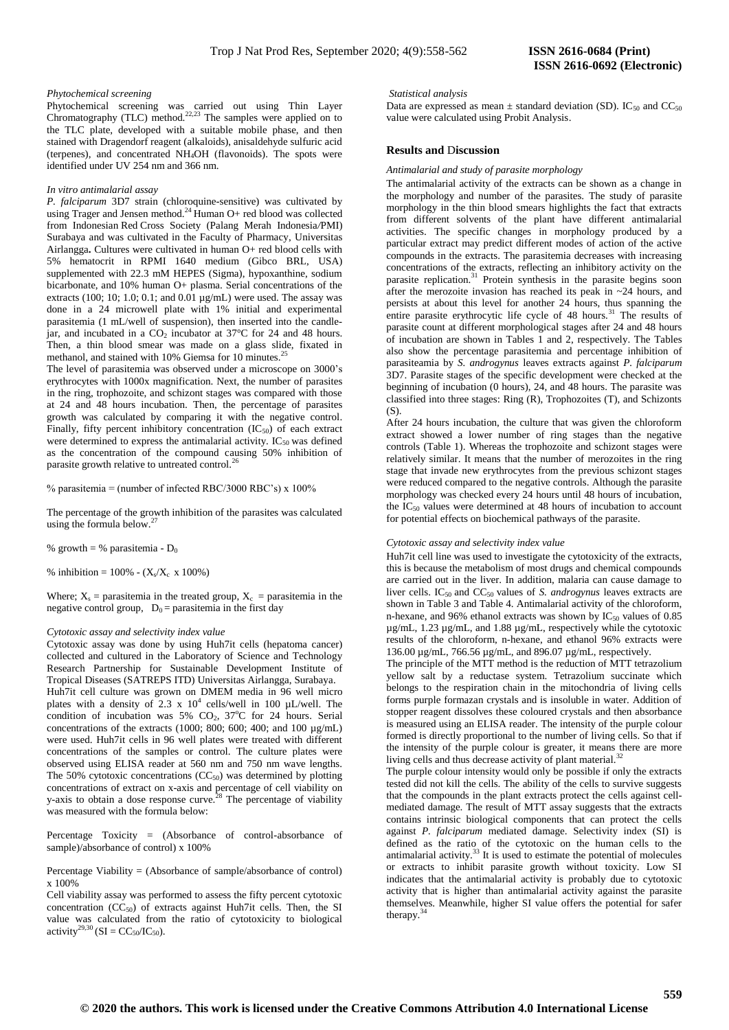### *Phytochemical screening*

Phytochemical screening was carried out using Thin Layer Chromatography (TLC) method. $^{22,23}$  The samples were applied on to the TLC plate, developed with a suitable mobile phase, and then stained with Dragendorf reagent (alkaloids), anisaldehyde sulfuric acid (terpenes), and concentrated NH4OH (flavonoids). The spots were identified under UV 254 nm and 366 nm.

#### *In vitro antimalarial assay*

*P. falciparum* 3D7 strain (chloroquine-sensitive) was cultivated by using Trager and Jensen method.<sup>24</sup> Human O+ red blood was collected from Indonesian Red Cross Society (Palang Merah Indonesia*/*PMI) Surabaya and was cultivated in the Faculty of Pharmacy, Universitas Airlangga**.** Cultures were cultivated in human O+ red blood cells with 5% hematocrit in RPMI 1640 medium (Gibco BRL, USA) supplemented with 22.3 mM HEPES (Sigma), hypoxanthine, sodium bicarbonate, and 10% human O+ plasma. Serial concentrations of the extracts (100; 10; 1.0; 0.1; and 0.01  $\mu$ g/mL) were used. The assay was done in a 24 microwell plate with 1% initial and experimental parasitemia (1 mL/well of suspension), then inserted into the candlejar, and incubated in a  $CO<sub>2</sub>$  incubator at 37 $\degree$ C for 24 and 48 hours. Then, a thin blood smear was made on a glass slide, fixated in methanol, and stained with 10% Giemsa for 10 minutes.<sup>2</sup>

The level of parasitemia was observed under a microscope on 3000's erythrocytes with 1000x magnification. Next, the number of parasites in the ring, trophozoite, and schizont stages was compared with those at 24 and 48 hours incubation. Then, the percentage of parasites growth was calculated by comparing it with the negative control. Finally, fifty percent inhibitory concentration  $(IC_{50})$  of each extract were determined to express the antimalarial activity. IC<sub>50</sub> was defined as the concentration of the compound causing 50% inhibition of parasite growth relative to untreated control.<sup>26</sup>

% parasitemia = (number of infected RBC/3000 RBC's) x 100%

The percentage of the growth inhibition of the parasites was calculated using the formula below. 27

% growth = % parasitemia -  $D_0$ 

% inhibition =  $100\%$  -  $(X_s/X_c \times 100\%)$ 

Where;  $X_s$  = parasitemia in the treated group,  $X_c$  = parasitemia in the negative control group,  $D_0 =$  parasitemia in the first day

#### *Cytotoxic assay and selectivity index value*

Cytotoxic assay was done by using Huh7it cells (hepatoma cancer) collected and cultured in the Laboratory of Science and Technology Research Partnership for Sustainable Development Institute of Tropical Diseases (SATREPS ITD) Universitas Airlangga, Surabaya. Huh7it cell culture was grown on DMEM media in 96 well micro plates with a density of 2.3 x  $10^4$  cells/well in 100  $\mu$ L/well. The condition of incubation was  $5\%$  CO<sub>2</sub>,  $37^{\circ}$ C for 24 hours. Serial concentrations of the extracts (1000; 800; 600; 400; and 100  $\mu$ g/mL) were used. Huh7it cells in 96 well plates were treated with different concentrations of the samples or control. The culture plates were observed using ELISA reader at 560 nm and 750 nm wave lengths. The 50% cytotoxic concentrations  $(CC<sub>50</sub>)$  was determined by plotting concentrations of extract on x-axis and percentage of cell viability on y-axis to obtain a dose response curve.<sup>28</sup> The percentage of viability was measured with the formula below:

Percentage Toxicity = (Absorbance of control-absorbance of sample)/absorbance of control) x 100%

Percentage Viability = (Absorbance of sample/absorbance of control) x 100%

Cell viability assay was performed to assess the fifty percent cytotoxic concentration  $(CC_{50})$  of extracts against Huh7it cells. Then, the SI value was calculated from the ratio of cytotoxicity to biological  $\arcsin^{29,30}$  (SI = CC<sub>50</sub>/IC<sub>50</sub>).

#### *Statistical analysis*

Data are expressed as mean  $\pm$  standard deviation (SD). IC<sub>50</sub> and CC<sub>50</sub> value were calculated using Probit Analysis.

## **Results and** D**iscussion**

*Antimalarial and study of parasite morphology* 

The antimalarial activity of the extracts can be shown as a change in the morphology and number of the parasites. The study of parasite morphology in the thin blood smears highlights the fact that extracts from different solvents of the plant have different antimalarial activities. The specific changes in morphology produced by a particular extract may predict different modes of action of the active compounds in the extracts. The parasitemia decreases with increasing concentrations of the extracts, reflecting an inhibitory activity on the parasite replication.<sup>31</sup> Protein synthesis in the parasite begins soon after the merozoite invasion has reached its peak in ~24 hours, and persists at about this level for another 24 hours, thus spanning the entire parasite erythrocytic life cycle of 48 hours.<sup>31</sup> The results of parasite count at different morphological stages after 24 and 48 hours of incubation are shown in Tables 1 and 2, respectively. The Tables also show the percentage parasitemia and percentage inhibition of parasiteamia by *S. androgynus* leaves extracts against *P. falciparum* 3D7. Parasite stages of the specific development were checked at the beginning of incubation (0 hours), 24, and 48 hours. The parasite was classified into three stages: Ring (R), Trophozoites (T), and Schizonts (S).

After 24 hours incubation, the culture that was given the chloroform extract showed a lower number of ring stages than the negative controls (Table 1). Whereas the trophozoite and schizont stages were relatively similar. It means that the number of merozoites in the ring stage that invade new erythrocytes from the previous schizont stages were reduced compared to the negative controls. Although the parasite morphology was checked every 24 hours until 48 hours of incubation, the  $IC_{50}$  values were determined at 48 hours of incubation to account for potential effects on biochemical pathways of the parasite.

# *Cytotoxic assay and selectivity index value*

Huh7it cell line was used to investigate the cytotoxicity of the extracts, this is because the metabolism of most drugs and chemical compounds are carried out in the liver. In addition, malaria can cause damage to liver cells. IC50 and CC50 values of *S. androgynus* leaves extracts are shown in Table 3 and Table 4. Antimalarial activity of the chloroform, n-hexane, and 96% ethanol extracts was shown by  $IC_{50}$  values of 0.85 µg/mL, 1.23 µg/mL, and 1.88 µg/mL, respectively while the cytotoxic results of the chloroform, n-hexane, and ethanol 96% extracts were 136.00 µg/mL, 766.56 µg/mL, and 896.07 µg/mL, respectively.

The principle of the MTT method is the reduction of MTT tetrazolium yellow salt by a reductase system. Tetrazolium succinate which belongs to the respiration chain in the mitochondria of living cells forms purple formazan crystals and is insoluble in water. Addition of stopper reagent dissolves these coloured crystals and then absorbance is measured using an ELISA reader. The intensity of the purple colour formed is directly proportional to the number of living cells. So that if the intensity of the purple colour is greater, it means there are more living cells and thus decrease activity of plant material.<sup>32</sup>

The purple colour intensity would only be possible if only the extracts tested did not kill the cells. The ability of the cells to survive suggests that the compounds in the plant extracts protect the cells against cellmediated damage. The result of MTT assay suggests that the extracts contains intrinsic biological components that can protect the cells against *P. falciparum* mediated damage. Selectivity index (SI) is defined as the ratio of the cytotoxic on the human cells to the  $\frac{1}{2}$ antimalarial activity.<sup>33</sup> It is used to estimate the potential of molecules or extracts to inhibit parasite growth without toxicity. Low SI indicates that the antimalarial activity is probably due to cytotoxic activity that is higher than antimalarial activity against the parasite themselves. Meanwhile, higher SI value offers the potential for safer therapy. $3$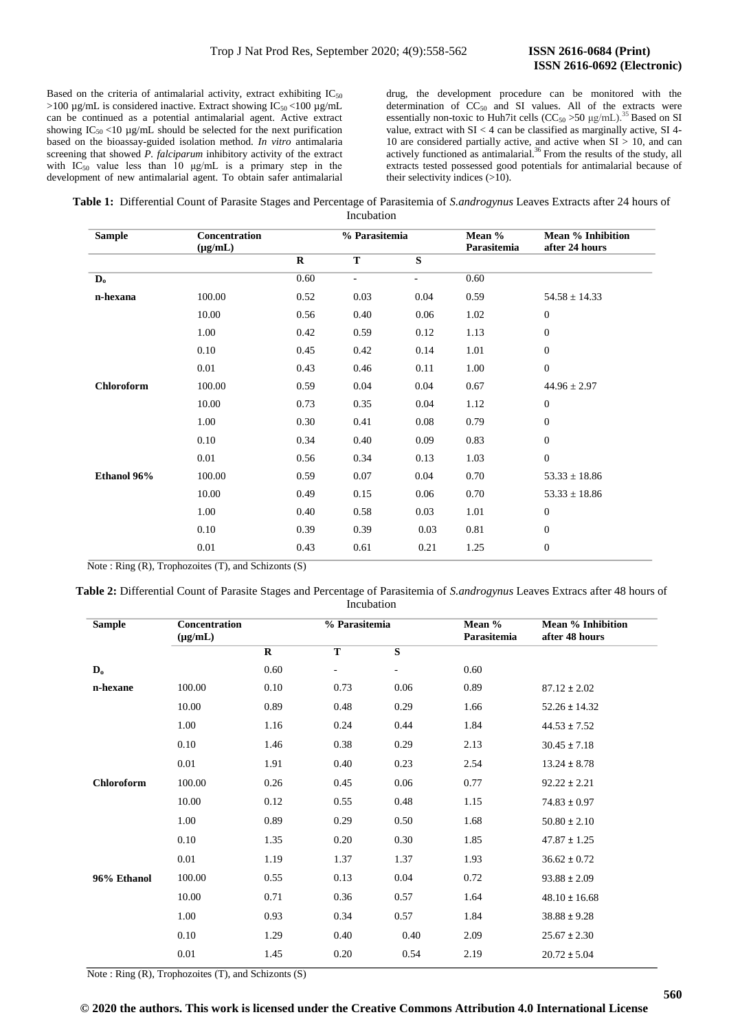Based on the criteria of antimalarial activity, extract exhibiting  $IC_{50}$  $>100 \mu$ g/mL is considered inactive. Extract showing IC<sub>50</sub> <100  $\mu$ g/mL can be continued as a potential antimalarial agent. Active extract showing  $IC_{50}$  <10  $\mu$ g/mL should be selected for the next purification based on the bioassay-guided isolation method. *In vitro* antimalaria screening that showed *P. falciparum* inhibitory activity of the extract with  $IC_{50}$  value less than 10  $\mu$ g/mL is a primary step in the development of new antimalarial agent. To obtain safer antimalarial

drug, the development procedure can be monitored with the determination of  $CC_{50}$  and SI values. All of the extracts were essentially non-toxic to Huh7it cells  $(CC<sub>50</sub> >50 \mu g/mL)$ .<sup>35</sup> Based on SI value, extract with  $SI < 4$  can be classified as marginally active,  $SI$  4-10 are considered partially active, and active when  $SI > 10$ , and can actively functioned as antimalarial.<sup>36</sup> From the results of the study, all extracts tested possessed good potentials for antimalarial because of their selectivity indices (>10).

**Table 1:** Differential Count of Parasite Stages and Percentage of Parasitemia of *S.androgynus* Leaves Extracts after 24 hours of Incubation

| <b>Sample</b> | <b>Concentration</b><br>$(\mu g/mL)$ | % Parasitemia |                |                          | Mean %<br>Parasitemia | <b>Mean % Inhibition</b><br>after 24 hours |
|---------------|--------------------------------------|---------------|----------------|--------------------------|-----------------------|--------------------------------------------|
|               |                                      | $\mathbf{R}$  | T              | $\overline{\mathbf{s}}$  |                       |                                            |
| $D_0$         |                                      | 0.60          | $\blacksquare$ | $\overline{\phantom{a}}$ | 0.60                  |                                            |
| n-hexana      | 100.00                               | 0.52          | 0.03           | 0.04                     | 0.59                  | $54.58 \pm 14.33$                          |
|               | 10.00                                | 0.56          | 0.40           | 0.06                     | 1.02                  | $\mathbf{0}$                               |
|               | 1.00                                 | 0.42          | 0.59           | 0.12                     | 1.13                  | $\mathbf{0}$                               |
|               | 0.10                                 | 0.45          | 0.42           | 0.14                     | 1.01                  | $\mathbf{0}$                               |
|               | 0.01                                 | 0.43          | 0.46           | 0.11                     | 1.00                  | $\mathbf{0}$                               |
| Chloroform    | 100.00                               | 0.59          | 0.04           | 0.04                     | 0.67                  | $44.96 \pm 2.97$                           |
|               | 10.00                                | 0.73          | 0.35           | 0.04                     | 1.12                  | $\mathbf{0}$                               |
|               | 1.00                                 | 0.30          | 0.41           | 0.08                     | 0.79                  | $\mathbf{0}$                               |
|               | 0.10                                 | 0.34          | 0.40           | 0.09                     | 0.83                  | $\mathbf{0}$                               |
|               | 0.01                                 | 0.56          | 0.34           | 0.13                     | 1.03                  | $\mathbf{0}$                               |
| Ethanol 96%   | 100.00                               | 0.59          | 0.07           | 0.04                     | 0.70                  | $53.33 \pm 18.86$                          |
|               | 10.00                                | 0.49          | 0.15           | 0.06                     | 0.70                  | $53.33 \pm 18.86$                          |
|               | 1.00                                 | 0.40          | 0.58           | 0.03                     | 1.01                  | $\mathbf{0}$                               |
|               | 0.10                                 | 0.39          | 0.39           | 0.03                     | 0.81                  | $\mathbf{0}$                               |
|               | 0.01                                 | 0.43          | 0.61           | 0.21                     | 1.25                  | $\mathbf{0}$                               |

Note : Ring  $(R)$ , Trophozoites  $(T)$ , and Schizonts  $(S)$ 

**Table 2:** Differential Count of Parasite Stages and Percentage of Parasitemia of *S.androgynus* Leaves Extracs after 48 hours of Incubation

| <b>Sample</b>             | <b>Concentration</b><br>$(\mu g/mL)$ |             | % Parasitemia            |                          | Mean %<br>Parasitemia | <b>Mean % Inhibition</b><br>after 48 hours |
|---------------------------|--------------------------------------|-------------|--------------------------|--------------------------|-----------------------|--------------------------------------------|
|                           |                                      | $\mathbf R$ | T                        | $\overline{\mathbf{s}}$  |                       |                                            |
| $\mathbf{D}_{\mathbf{o}}$ |                                      | 0.60        | $\overline{\phantom{a}}$ | $\overline{\phantom{a}}$ | 0.60                  |                                            |
| n-hexane                  | 100.00                               | 0.10        | 0.73                     | 0.06                     | 0.89                  | $87.12 \pm 2.02$                           |
|                           | 10.00                                | 0.89        | 0.48                     | 0.29                     | 1.66                  | $52.26 \pm 14.32$                          |
|                           | 1.00                                 | 1.16        | 0.24                     | 0.44                     | 1.84                  | $44.53 \pm 7.52$                           |
|                           | 0.10                                 | 1.46        | 0.38                     | 0.29                     | 2.13                  | $30.45 \pm 7.18$                           |
|                           | 0.01                                 | 1.91        | 0.40                     | 0.23                     | 2.54                  | $13.24 \pm 8.78$                           |
| <b>Chloroform</b>         | 100.00                               | 0.26        | 0.45                     | 0.06                     | 0.77                  | $92.22 \pm 2.21$                           |
|                           | 10.00                                | 0.12        | 0.55                     | 0.48                     | 1.15                  | $74.83 \pm 0.97$                           |
|                           | 1.00                                 | 0.89        | 0.29                     | 0.50                     | 1.68                  | $50.80 \pm 2.10$                           |
|                           | 0.10                                 | 1.35        | 0.20                     | 0.30                     | 1.85                  | $47.87 \pm 1.25$                           |
|                           | 0.01                                 | 1.19        | 1.37                     | 1.37                     | 1.93                  | $36.62 \pm 0.72$                           |
| 96% Ethanol               | 100.00                               | 0.55        | 0.13                     | 0.04                     | 0.72                  | $93.88 \pm 2.09$                           |
|                           | 10.00                                | 0.71        | 0.36                     | 0.57                     | 1.64                  | $48.10 \pm 16.68$                          |
|                           | 1.00                                 | 0.93        | 0.34                     | 0.57                     | 1.84                  | $38.88 \pm 9.28$                           |
|                           | 0.10                                 | 1.29        | 0.40                     | 0.40                     | 2.09                  | $25.67 \pm 2.30$                           |
|                           | 0.01                                 | 1.45        | 0.20                     | 0.54                     | 2.19                  | $20.72 \pm 5.04$                           |
|                           |                                      |             |                          |                          |                       |                                            |

Note : Ring (R), Trophozoites (T), and Schizonts (S)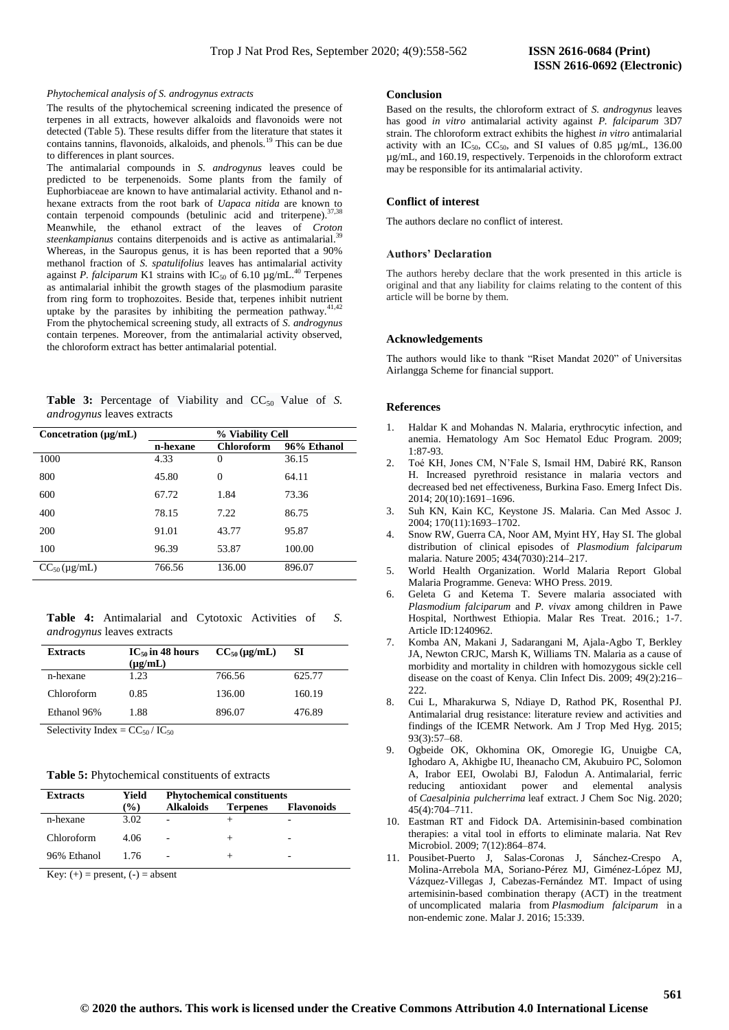# *Phytochemical analysis of S. androgynus extracts*

The results of the phytochemical screening indicated the presence of terpenes in all extracts, however alkaloids and flavonoids were not detected (Table 5). These results differ from the literature that states it contains tannins, flavonoids, alkaloids, and phenols.<sup>19</sup> This can be due to differences in plant sources.

The antimalarial compounds in *S. androgynus* leaves could be predicted to be terpenenoids. Some plants from the family of Euphorbiaceae are known to have antimalarial activity. Ethanol and nhexane extracts from the root bark of *Uapaca nitida* are known to contain terpenoid compounds (betulinic acid and triterpene).<sup>37</sup> Meanwhile, the ethanol extract of the leaves of *Croton steenkampianus* contains diterpenoids and is active as antimalarial. 39 Whereas, in the Sauropus genus, it is has been reported that a 90% methanol fraction of *S. spatulifolius* leaves has antimalarial activity against *P. falciparum* K1 strains with  $IC_{50}$  of 6.10  $\mu$ g/mL.<sup>40</sup> Terpenes as antimalarial inhibit the growth stages of the plasmodium parasite from ring form to trophozoites. Beside that, terpenes inhibit nutrient uptake by the parasites by inhibiting the permeation pathway.<sup>41,42</sup> From the phytochemical screening study, all extracts of *S. androgynus* contain terpenes. Moreover, from the antimalarial activity observed, the chloroform extract has better antimalarial potential.

**Table 3:** Percentage of Viability and CC<sub>50</sub> Value of *S*. *androgynus* leaves extracts

| Concetration $(\mu g/mL)$ | % Viability Cell |                   |             |  |
|---------------------------|------------------|-------------------|-------------|--|
|                           | n-hexane         | <b>Chloroform</b> | 96% Ethanol |  |
| 1000                      | 4.33             | 0                 | 36.15       |  |
| 800                       | 45.80            | $\theta$          | 64.11       |  |
| 600                       | 67.72            | 1.84              | 73.36       |  |
| 400                       | 78.15            | 7.22              | 86.75       |  |
| 200                       | 91.01            | 43.77             | 95.87       |  |
| 100                       | 96.39            | 53.87             | 100.00      |  |
| $CC_{50}$ (µg/mL)         | 766.56           | 136.00            | 896.07      |  |

**Table 4:** Antimalarial and Cytotoxic Activities of *S. androgynus* leaves extracts

| <b>Extracts</b> | $IC_{50}$ in 48 hours<br>$(\mu g/mL)$ | $CC_{50}$ (µg/mL) | SІ     |
|-----------------|---------------------------------------|-------------------|--------|
| n-hexane        | 1.23                                  | 766.56            | 625.77 |
| Chloroform      | 0.85                                  | 136.00            | 160.19 |
| Ethanol 96%     | 1.88                                  | 896.07            | 476.89 |

Selectivity Index =  $CC_{50}$  /  $IC_{50}$ 

| <b>Extracts</b> | Yield         | <b>Phytochemical constituents</b> |                 |                   |
|-----------------|---------------|-----------------------------------|-----------------|-------------------|
|                 | $\frac{1}{2}$ | <b>Alkaloids</b>                  | <b>Terpenes</b> | <b>Flavonoids</b> |
| n-hexane        | 3.02          | ٠                                 |                 | -                 |
| Chloroform      | 4.06          | $\overline{a}$                    |                 | -                 |
| 96% Ethanol     | 1.76          | $\overline{a}$                    |                 | -                 |

Key:  $(+)$  = present,  $(-)$  = absent

#### **Conclusion**

Based on the results, the chloroform extract of *S. androgynus* leaves has good *in vitro* antimalarial activity against *P. falciparum* 3D7 strain. The chloroform extract exhibits the highest *in vitro* antimalarial activity with an IC<sub>50</sub>, CC<sub>50</sub>, and SI values of 0.85  $\mu$ g/mL, 136.00 µg/mL, and 160.19, respectively. Terpenoids in the chloroform extract may be responsible for its antimalarial activity.

## **Conflict of interest**

The authors declare no conflict of interest.

#### **Authors' Declaration**

The authors hereby declare that the work presented in this article is original and that any liability for claims relating to the content of this article will be borne by them.

# **Acknowledgements**

The authors would like to thank "Riset Mandat 2020" of Universitas Airlangga Scheme for financial support.

# **References**

- 1. Haldar K and Mohandas N. Malaria, erythrocytic infection, and anemia. Hematology Am Soc Hematol Educ Program. 2009; 1:87-93.
- 2. Toé KH, Jones CM, N'Fale S, Ismail HM, Dabiré RK, Ranson H. Increased pyrethroid resistance in malaria vectors and decreased bed net effectiveness, Burkina Faso. Emerg Infect Dis. 2014; 20(10):1691–1696.
- 3. Suh KN, Kain KC, Keystone JS. Malaria. Can Med Assoc J. 2004; 170(11):1693–1702.
- Snow RW, Guerra CA, Noor AM, Myint HY, Hay SI. The global distribution of clinical episodes of *Plasmodium falciparum* malaria. Nature 2005; 434(7030):214–217.
- 5. World Health Organization. World Malaria Report Global Malaria Programme. Geneva: WHO Press. 2019.
- 6. Geleta G and Ketema T. Severe malaria associated with *Plasmodium falciparum* and *P. vivax* among children in Pawe Hospital, Northwest Ethiopia. Malar Res Treat. 2016.; 1-7. Article ID:1240962.
- 7. Komba AN, Makani J, Sadarangani M, Ajala-Agbo T, Berkley JA, Newton CRJC, Marsh K, Williams TN. Malaria as a cause of morbidity and mortality in children with homozygous sickle cell disease on the coast of Kenya. Clin Infect Dis. 2009; 49(2):216– 222.
- 8. Cui L, Mharakurwa S, Ndiaye D, Rathod PK, Rosenthal PJ. Antimalarial drug resistance: literature review and activities and findings of the ICEMR Network. Am J Trop Med Hyg. 2015; 93(3):57–68.
- 9. Ogbeide OK, Okhomina OK, Omoregie IG, Unuigbe CA, Ighodaro A, Akhigbe IU, Iheanacho CM, Akubuiro PC, Solomon A, Irabor EEI, Owolabi BJ, Falodun A. Antimalarial, ferric reducing antioxidant power and elemental analysis of *Caesalpinia pulcherrima* leaf extract. J Chem Soc Nig. 2020; 45(4):704–711.
- 10. Eastman RT and Fidock DA. Artemisinin-based combination therapies: a vital tool in efforts to eliminate malaria. Nat Rev Microbiol. 2009; 7(12):864–874.
- 11. Pousibet-Puerto J, Salas-Coronas J, Sánchez-Crespo A, Molina-Arrebola MA, Soriano-Pérez MJ, Giménez-López MJ, Vázquez-Villegas J, Cabezas-Fernández MT. Impact of using artemisinin-based combination therapy (ACT) in the treatment of uncomplicated malaria from *Plasmodium falciparum* in a non-endemic zone. Malar J. 2016; 15:339.